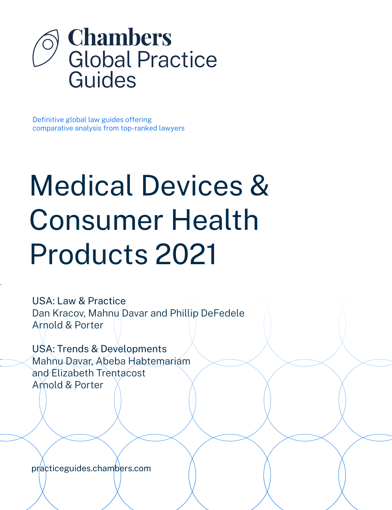

Definitive global law guides offering comparative analysis from top-ranked lawyers

# Medical Devices & Consumer Health Products 2021

USA: Law & Practice Dan Kracov, Mahnu Davar and Phillip DeFedele Arnold & Porter

USA: Trends & Developments Mahnu Davar, Abeba Habtemariam and Elizabeth Trentacost Arnold & Porter

[practiceguides.chambers.com](http://practiceguides.chambers.com)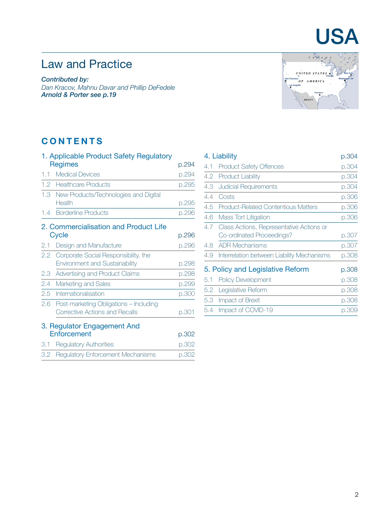# USA

# Law and Practice

*Contributed by: Dan Kracov, Mahnu Davar and Phillip DeFedele Arnold & Porte[r see p.19](#page-18-0)*



### **CONTENTS**

|         | 1. Applicable Product Safety Regulatory   |       |
|---------|-------------------------------------------|-------|
|         | <b>Regimes</b>                            | p.294 |
| $1.1 -$ | <b>Medical Devices</b>                    | p.294 |
|         | 1.2 Healthcare Products                   | p.295 |
|         | 1.3 New Products/Technologies and Digital |       |
|         | Health                                    | p.295 |
|         | 1.4 Borderline Products                   | p.296 |
|         | 2. Commercialisation and Product Life     |       |
|         | Cycle                                     | p.296 |
| 2.1     | Design and Manufacture                    | p.296 |
| 2.2     | Corporate Social Responsibility, the      |       |
|         | <b>Environment and Sustainability</b>     | p.298 |
| 2.3     | Advertising and Product Claims            | p.298 |
| 2.4     | Marketing and Sales                       | p.299 |
| 2.5     | Internationalisation                      | p.300 |
| 2.6     | Post-marketing Obligations - Including    |       |
|         | <b>Corrective Actions and Recalls</b>     | p.301 |
|         | 3. Regulator Engagement And               |       |
|         | Enforcement                               | p.302 |
| 3.1     | <b>Regulatory Authorities</b>             | p.302 |
| 3.2     | <b>Regulatory Enforcement Mechanisms</b>  | p.302 |

| 4. Liability |                                            | p.304 |
|--------------|--------------------------------------------|-------|
| 4.1          | <b>Product Safety Offences</b>             | p.304 |
| 4.2          | <b>Product Liability</b>                   | p.304 |
| 4.3          | <b>Judicial Requirements</b>               | p.304 |
| 4.4          | Costs                                      | p.306 |
| 4.5          | <b>Product-Related Contentious Matters</b> | p.306 |
| 4.6          | <b>Mass Tort Litigation</b>                | p.306 |
| 4.7          | Class Actions, Representative Actions or   |       |
|              | Co-ordinated Proceedings?                  | p.307 |
| 4.8          | <b>ADR Mechanisms</b>                      | p.307 |
| 4.9          | Interrelation between Liability Mechanisms | p.308 |
|              | 5. Policy and Legislative Reform           | p.308 |
| 5.1          | <b>Policy Development</b>                  | p.308 |
| 5.2          | Legislative Reform                         | p.308 |
| 5.3          | Impact of Brexit                           | p.308 |
| 5.4          | Impact of COVID-19                         | p.309 |
|              |                                            |       |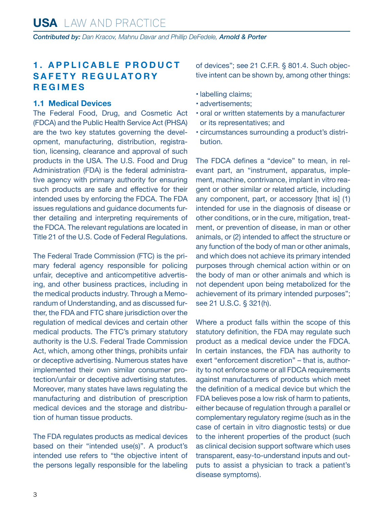#### <span id="page-2-0"></span>**1 . A P P L I C A B L E P R O D U C T SAFFTY REGULATORY REGIMES**

#### **1.1 Medical Devices**

The Federal Food, Drug, and Cosmetic Act (FDCA) and the Public Health Service Act (PHSA) are the two key statutes governing the development, manufacturing, distribution, registration, licensing, clearance and approval of such products in the USA. The U.S. Food and Drug Administration (FDA) is the federal administrative agency with primary authority for ensuring such products are safe and effective for their intended uses by enforcing the FDCA. The FDA issues regulations and guidance documents further detailing and interpreting requirements of the FDCA. The relevant regulations are located in Title 21 of the U.S. Code of Federal Regulations.

The Federal Trade Commission (FTC) is the primary federal agency responsible for policing unfair, deceptive and anticompetitive advertising, and other business practices, including in the medical products industry. Through a Memorandum of Understanding, and as discussed further, the FDA and FTC share jurisdiction over the regulation of medical devices and certain other medical products. The FTC's primary statutory authority is the U.S. Federal Trade Commission Act, which, among other things, prohibits unfair or deceptive advertising. Numerous states have implemented their own similar consumer protection/unfair or deceptive advertising statutes. Moreover, many states have laws regulating the manufacturing and distribution of prescription medical devices and the storage and distribution of human tissue products.

The FDA regulates products as medical devices based on their "intended use(s)". A product's intended use refers to "the objective intent of the persons legally responsible for the labeling of devices"; see 21 C.F.R. § 801.4. Such objective intent can be shown by, among other things:

- labelling claims;
- advertisements;
- oral or written statements by a manufacturer or its representatives; and
- circumstances surrounding a product's distribution.

The FDCA defines a "device" to mean, in relevant part, an "instrument, apparatus, implement, machine, contrivance, implant in vitro reagent or other similar or related article, including any component, part, or accessory [that is] (1) intended for use in the diagnosis of disease or other conditions, or in the cure, mitigation, treatment, or prevention of disease, in man or other animals, or (2) intended to affect the structure or any function of the body of man or other animals, and which does not achieve its primary intended purposes through chemical action within or on the body of man or other animals and which is not dependent upon being metabolized for the achievement of its primary intended purposes"; see 21 U.S.C. § 321(h).

Where a product falls within the scope of this statutory definition, the FDA may regulate such product as a medical device under the FDCA. In certain instances, the FDA has authority to exert "enforcement discretion" – that is, authority to not enforce some or all FDCA requirements against manufacturers of products which meet the definition of a medical device but which the FDA believes pose a low risk of harm to patients, either because of regulation through a parallel or complementary regulatory regime (such as in the case of certain in vitro diagnostic tests) or due to the inherent properties of the product (such as clinical decision support software which uses transparent, easy-to-understand inputs and outputs to assist a physician to track a patient's disease symptoms).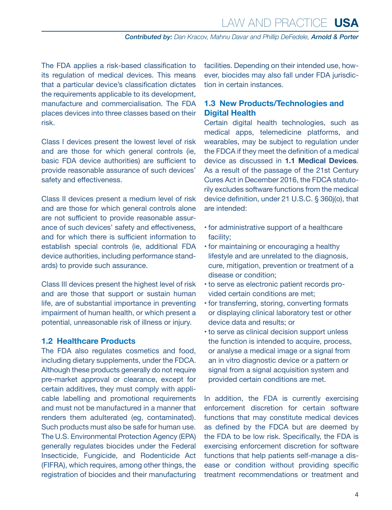<span id="page-3-0"></span>The FDA applies a risk-based classification to its regulation of medical devices. This means that a particular device's classification dictates the requirements applicable to its development, manufacture and commercialisation. The FDA places devices into three classes based on their risk.

Class I devices present the lowest level of risk and are those for which general controls (ie, basic FDA device authorities) are sufficient to provide reasonable assurance of such devices' safety and effectiveness.

Class II devices present a medium level of risk and are those for which general controls alone are not sufficient to provide reasonable assurance of such devices' safety and effectiveness, and for which there is sufficient information to establish special controls (ie, additional FDA device authorities, including performance standards) to provide such assurance.

Class III devices present the highest level of risk and are those that support or sustain human life, are of substantial importance in preventing impairment of human health, or which present a potential, unreasonable risk of illness or injury.

#### **1.2 Healthcare Products**

The FDA also regulates cosmetics and food, including dietary supplements, under the FDCA. Although these products generally do not require pre-market approval or clearance, except for certain additives, they must comply with applicable labelling and promotional requirements and must not be manufactured in a manner that renders them adulterated (eg, contaminated). Such products must also be safe for human use. The U.S. Environmental Protection Agency (EPA) generally regulates biocides under the Federal Insecticide, Fungicide, and Rodenticide Act (FIFRA), which requires, among other things, the registration of biocides and their manufacturing facilities. Depending on their intended use, however, biocides may also fall under FDA jurisdiction in certain instances.

#### **1.3 New Products/Technologies and Digital Health**

Certain digital health technologies, such as medical apps, telemedicine platforms, and wearables, may be subject to regulation under the FDCA if they meet the definition of a medical device as discussed in **1.1 Medical Devices**. As a result of the passage of the 21st Century Cures Act in December 2016, the FDCA statutorily excludes software functions from the medical device definition, under 21 U.S.C. § 360j(o), that are intended:

- for administrative support of a healthcare facility;
- for maintaining or encouraging a healthy lifestyle and are unrelated to the diagnosis, cure, mitigation, prevention or treatment of a disease or condition;
- to serve as electronic patient records provided certain conditions are met;
- for transferring, storing, converting formats or displaying clinical laboratory test or other device data and results; or
- to serve as clinical decision support unless the function is intended to acquire, process, or analyse a medical image or a signal from an in vitro diagnostic device or a pattern or signal from a signal acquisition system and provided certain conditions are met.

In addition, the FDA is currently exercising enforcement discretion for certain software functions that may constitute medical devices as defined by the FDCA but are deemed by the FDA to be low risk. Specifically, the FDA is exercising enforcement discretion for software functions that help patients self-manage a disease or condition without providing specific treatment recommendations or treatment and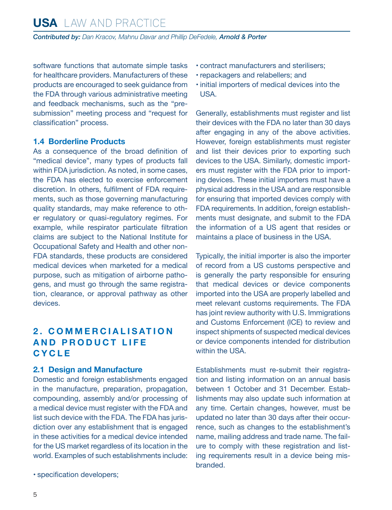<span id="page-4-0"></span>software functions that automate simple tasks for healthcare providers. Manufacturers of these products are encouraged to seek guidance from the FDA through various administrative meeting and feedback mechanisms, such as the "presubmission" meeting process and "request for classification" process.

#### **1.4 Borderline Products**

As a consequence of the broad definition of "medical device", many types of products fall within FDA jurisdiction. As noted, in some cases, the FDA has elected to exercise enforcement discretion. In others, fulfilment of FDA requirements, such as those governing manufacturing quality standards, may make reference to other regulatory or quasi-regulatory regimes. For example, while respirator particulate filtration claims are subject to the National Institute for Occupational Safety and Health and other non-FDA standards, these products are considered medical devices when marketed for a medical purpose, such as mitigation of airborne pathogens, and must go through the same registration, clearance, or approval pathway as other devices.

#### **2 . C O M M E R C I A L I S AT I O N AND PRODUCT LIFE C Y C L E**

#### **2.1 Design and Manufacture**

Domestic and foreign establishments engaged in the manufacture, preparation, propagation, compounding, assembly and/or processing of a medical device must register with the FDA and list such device with the FDA. The FDA has jurisdiction over any establishment that is engaged in these activities for a medical device intended for the US market regardless of its location in the world. Examples of such establishments include:

• specification developers;

- contract manufacturers and sterilisers;
- repackagers and relabellers; and
- initial importers of medical devices into the USA.

Generally, establishments must register and list their devices with the FDA no later than 30 days after engaging in any of the above activities. However, foreign establishments must register and list their devices prior to exporting such devices to the USA. Similarly, domestic importers must register with the FDA prior to importing devices. These initial importers must have a physical address in the USA and are responsible for ensuring that imported devices comply with FDA requirements. In addition, foreign establishments must designate, and submit to the FDA the information of a US agent that resides or maintains a place of business in the USA.

Typically, the initial importer is also the importer of record from a US customs perspective and is generally the party responsible for ensuring that medical devices or device components imported into the USA are properly labelled and meet relevant customs requirements. The FDA has joint review authority with U.S. Immigrations and Customs Enforcement (ICE) to review and inspect shipments of suspected medical devices or device components intended for distribution within the USA.

Establishments must re-submit their registration and listing information on an annual basis between 1 October and 31 December. Establishments may also update such information at any time. Certain changes, however, must be updated no later than 30 days after their occurrence, such as changes to the establishment's name, mailing address and trade name. The failure to comply with these registration and listing requirements result in a device being misbranded.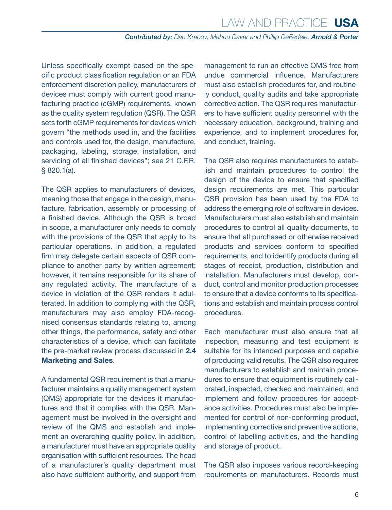Unless specifically exempt based on the specific product classification regulation or an FDA enforcement discretion policy, manufacturers of devices must comply with current good manufacturing practice (cGMP) requirements, known as the quality system regulation (QSR). The QSR sets forth cGMP requirements for devices which govern "the methods used in, and the facilities and controls used for, the design, manufacture, packaging, labeling, storage, installation, and servicing of all finished devices"; see 21 C.F.R. § 820.1(a).

The QSR applies to manufacturers of devices, meaning those that engage in the design, manufacture, fabrication, assembly or processing of a finished device. Although the QSR is broad in scope, a manufacturer only needs to comply with the provisions of the QSR that apply to its particular operations. In addition, a regulated firm may delegate certain aspects of QSR compliance to another party by written agreement; however, it remains responsible for its share of any regulated activity. The manufacture of a device in violation of the QSR renders it adulterated. In addition to complying with the QSR, manufacturers may also employ FDA-recognised consensus standards relating to, among other things, the performance, safety and other characteristics of a device, which can facilitate the pre-market review process discussed in **2.4 Marketing and Sales**.

A fundamental QSR requirement is that a manufacturer maintains a quality management system (QMS) appropriate for the devices it manufactures and that it complies with the QSR. Management must be involved in the oversight and review of the QMS and establish and implement an overarching quality policy. In addition, a manufacturer must have an appropriate quality organisation with sufficient resources. The head of a manufacturer's quality department must also have sufficient authority, and support from

management to run an effective QMS free from undue commercial influence. Manufacturers must also establish procedures for, and routinely conduct, quality audits and take appropriate corrective action. The QSR requires manufacturers to have sufficient quality personnel with the necessary education, background, training and experience, and to implement procedures for, and conduct, training.

The QSR also requires manufacturers to establish and maintain procedures to control the design of the device to ensure that specified design requirements are met. This particular QSR provision has been used by the FDA to address the emerging role of software in devices. Manufacturers must also establish and maintain procedures to control all quality documents, to ensure that all purchased or otherwise received products and services conform to specified requirements, and to identify products during all stages of receipt, production, distribution and installation. Manufacturers must develop, conduct, control and monitor production processes to ensure that a device conforms to its specifications and establish and maintain process control procedures.

Each manufacturer must also ensure that all inspection, measuring and test equipment is suitable for its intended purposes and capable of producing valid results. The QSR also requires manufacturers to establish and maintain procedures to ensure that equipment is routinely calibrated, inspected, checked and maintained, and implement and follow procedures for acceptance activities. Procedures must also be implemented for control of non-conforming product, implementing corrective and preventive actions, control of labelling activities, and the handling and storage of product.

The QSR also imposes various record-keeping requirements on manufacturers. Records must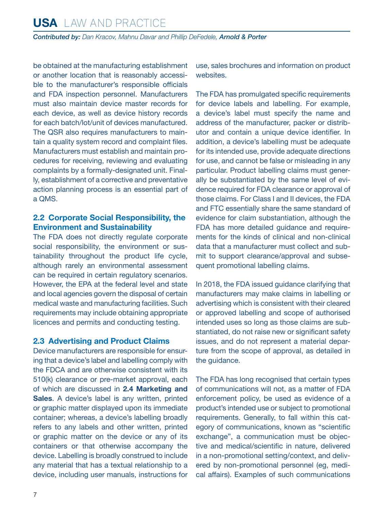<span id="page-6-0"></span>be obtained at the manufacturing establishment or another location that is reasonably accessible to the manufacturer's responsible officials and FDA inspection personnel. Manufacturers must also maintain device master records for each device, as well as device history records for each batch/lot/unit of devices manufactured. The QSR also requires manufacturers to maintain a quality system record and complaint files. Manufacturers must establish and maintain procedures for receiving, reviewing and evaluating complaints by a formally-designated unit. Finally, establishment of a corrective and preventative action planning process is an essential part of a QMS.

#### **2.2 Corporate Social Responsibility, the Environment and Sustainability**

The FDA does not directly regulate corporate social responsibility, the environment or sustainability throughout the product life cycle, although rarely an environmental assessment can be required in certain regulatory scenarios. However, the EPA at the federal level and state and local agencies govern the disposal of certain medical waste and manufacturing facilities. Such requirements may include obtaining appropriate licences and permits and conducting testing.

#### **2.3 Advertising and Product Claims**

Device manufacturers are responsible for ensuring that a device's label and labelling comply with the FDCA and are otherwise consistent with its 510(k) clearance or pre-market approval, each of which are discussed in **2.4 Marketing and Sales**. A device's label is any written, printed or graphic matter displayed upon its immediate container; whereas, a device's labelling broadly refers to any labels and other written, printed or graphic matter on the device or any of its containers or that otherwise accompany the device. Labelling is broadly construed to include any material that has a textual relationship to a device, including user manuals, instructions for use, sales brochures and information on product websites.

The FDA has promulgated specific requirements for device labels and labelling. For example, a device's label must specify the name and address of the manufacturer, packer or distributor and contain a unique device identifier. In addition, a device's labelling must be adequate for its intended use, provide adequate directions for use, and cannot be false or misleading in any particular. Product labelling claims must generally be substantiated by the same level of evidence required for FDA clearance or approval of those claims. For Class I and II devices, the FDA and FTC essentially share the same standard of evidence for claim substantiation, although the FDA has more detailed guidance and requirements for the kinds of clinical and non-clinical data that a manufacturer must collect and submit to support clearance/approval and subsequent promotional labelling claims.

In 2018, the FDA issued guidance clarifying that manufacturers may make claims in labelling or advertising which is consistent with their cleared or approved labelling and scope of authorised intended uses so long as those claims are substantiated, do not raise new or significant safety issues, and do not represent a material departure from the scope of approval, as detailed in the guidance.

The FDA has long recognised that certain types of communications will not, as a matter of FDA enforcement policy, be used as evidence of a product's intended use or subject to promotional requirements. Generally, to fall within this category of communications, known as "scientific exchange", a communication must be objective and medical/scientific in nature, delivered in a non-promotional setting/context, and delivered by non-promotional personnel (eg, medical affairs). Examples of such communications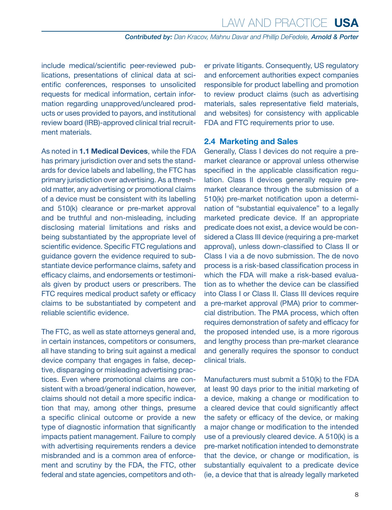<span id="page-7-0"></span>include medical/scientific peer-reviewed publications, presentations of clinical data at scientific conferences, responses to unsolicited requests for medical information, certain information regarding unapproved/uncleared products or uses provided to payors, and institutional review board (IRB)-approved clinical trial recruitment materials.

As noted in **1.1 Medical Devices**, while the FDA has primary jurisdiction over and sets the standards for device labels and labelling, the FTC has primary jurisdiction over advertising. As a threshold matter, any advertising or promotional claims of a device must be consistent with its labelling and 510(k) clearance or pre-market approval and be truthful and non-misleading, including disclosing material limitations and risks and being substantiated by the appropriate level of scientific evidence. Specific FTC regulations and guidance govern the evidence required to substantiate device performance claims, safety and efficacy claims, and endorsements or testimonials given by product users or prescribers. The FTC requires medical product safety or efficacy claims to be substantiated by competent and reliable scientific evidence.

The FTC, as well as state attorneys general and, in certain instances, competitors or consumers, all have standing to bring suit against a medical device company that engages in false, deceptive, disparaging or misleading advertising practices. Even where promotional claims are consistent with a broad/general indication, however, claims should not detail a more specific indication that may, among other things, presume a specific clinical outcome or provide a new type of diagnostic information that significantly impacts patient management. Failure to comply with advertising requirements renders a device misbranded and is a common area of enforcement and scrutiny by the FDA, the FTC, other federal and state agencies, competitors and other private litigants. Consequently, US regulatory and enforcement authorities expect companies responsible for product labelling and promotion to review product claims (such as advertising materials, sales representative field materials, and websites) for consistency with applicable FDA and FTC requirements prior to use.

#### **2.4 Marketing and Sales**

Generally, Class I devices do not require a premarket clearance or approval unless otherwise specified in the applicable classification regulation. Class II devices generally require premarket clearance through the submission of a 510(k) pre-market notification upon a determination of "substantial equivalence" to a legally marketed predicate device. If an appropriate predicate does not exist, a device would be considered a Class III device (requiring a pre-market approval), unless down-classified to Class II or Class I via a de novo submission. The de novo process is a risk-based classification process in which the FDA will make a risk-based evaluation as to whether the device can be classified into Class I or Class II. Class III devices require a pre-market approval (PMA) prior to commercial distribution. The PMA process, which often requires demonstration of safety and efficacy for the proposed intended use, is a more rigorous and lengthy process than pre-market clearance and generally requires the sponsor to conduct clinical trials.

Manufacturers must submit a 510(k) to the FDA at least 90 days prior to the initial marketing of a device, making a change or modification to a cleared device that could significantly affect the safety or efficacy of the device, or making a major change or modification to the intended use of a previously cleared device. A 510(k) is a pre-market notification intended to demonstrate that the device, or change or modification, is substantially equivalent to a predicate device (ie, a device that that is already legally marketed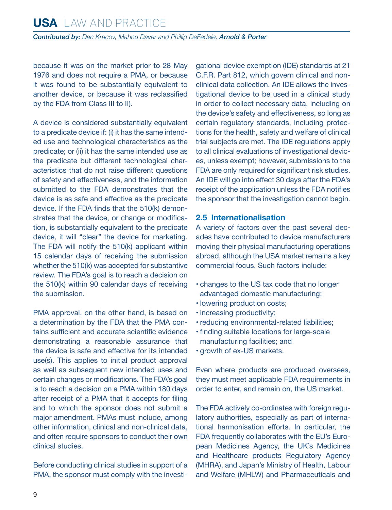<span id="page-8-0"></span>because it was on the market prior to 28 May 1976 and does not require a PMA, or because it was found to be substantially equivalent to another device, or because it was reclassified by the FDA from Class III to II).

A device is considered substantially equivalent to a predicate device if: (i) it has the same intended use and technological characteristics as the predicate; or (ii) it has the same intended use as the predicate but different technological characteristics that do not raise different questions of safety and effectiveness, and the information submitted to the FDA demonstrates that the device is as safe and effective as the predicate device. If the FDA finds that the 510(k) demonstrates that the device, or change or modification, is substantially equivalent to the predicate device, it will "clear" the device for marketing. The FDA will notify the 510(k) applicant within 15 calendar days of receiving the submission whether the 510(k) was accepted for substantive review. The FDA's goal is to reach a decision on the 510(k) within 90 calendar days of receiving the submission.

PMA approval, on the other hand, is based on a determination by the FDA that the PMA contains sufficient and accurate scientific evidence demonstrating a reasonable assurance that the device is safe and effective for its intended use(s). This applies to initial product approval as well as subsequent new intended uses and certain changes or modifications. The FDA's goal is to reach a decision on a PMA within 180 days after receipt of a PMA that it accepts for filing and to which the sponsor does not submit a major amendment. PMAs must include, among other information, clinical and non-clinical data, and often require sponsors to conduct their own clinical studies.

Before conducting clinical studies in support of a PMA, the sponsor must comply with the investigational device exemption (IDE) standards at 21 C.F.R. Part 812, which govern clinical and nonclinical data collection. An IDE allows the investigational device to be used in a clinical study in order to collect necessary data, including on the device's safety and effectiveness, so long as certain regulatory standards, including protections for the health, safety and welfare of clinical trial subjects are met. The IDE regulations apply to all clinical evaluations of investigational devices, unless exempt; however, submissions to the FDA are only required for significant risk studies. An IDE will go into effect 30 days after the FDA's receipt of the application unless the FDA notifies the sponsor that the investigation cannot begin.

#### **2.5 Internationalisation**

A variety of factors over the past several decades have contributed to device manufacturers moving their physical manufacturing operations abroad, although the USA market remains a key commercial focus. Such factors include:

- changes to the US tax code that no longer advantaged domestic manufacturing;
- lowering production costs;
- increasing productivity;
- reducing environmental-related liabilities;
- finding suitable locations for large-scale manufacturing facilities; and
- growth of ex-US markets.

Even where products are produced oversees, they must meet applicable FDA requirements in order to enter, and remain on, the US market.

The FDA actively co-ordinates with foreign regulatory authorities, especially as part of international harmonisation efforts. In particular, the FDA frequently collaborates with the EU's European Medicines Agency, the UK's Medicines and Healthcare products Regulatory Agency (MHRA), and Japan's Ministry of Health, Labour and Welfare (MHLW) and Pharmaceuticals and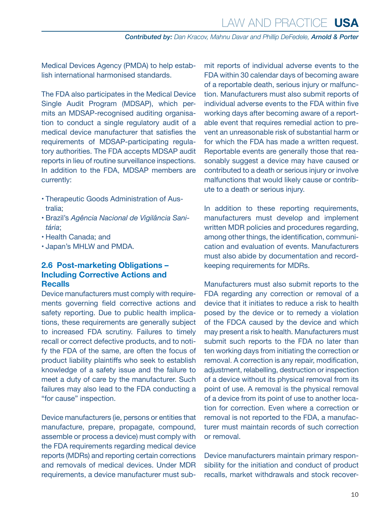<span id="page-9-0"></span>Medical Devices Agency (PMDA) to help establish international harmonised standards.

The FDA also participates in the Medical Device Single Audit Program (MDSAP), which permits an MDSAP-recognised auditing organisation to conduct a single regulatory audit of a medical device manufacturer that satisfies the requirements of MDSAP-participating regulatory authorities. The FDA accepts MDSAP audit reports in lieu of routine surveillance inspections. In addition to the FDA, MDSAP members are currently:

- Therapeutic Goods Administration of Australia;
- Brazil's *Agência Nacional de Vigilância Sanitária*;
- Health Canada; and
- Japan's MHLW and PMDA.

#### **2.6 Post-marketing Obligations – Including Corrective Actions and Recalls**

Device manufacturers must comply with requirements governing field corrective actions and safety reporting. Due to public health implications, these requirements are generally subject to increased FDA scrutiny. Failures to timely recall or correct defective products, and to notify the FDA of the same, are often the focus of product liability plaintiffs who seek to establish knowledge of a safety issue and the failure to meet a duty of care by the manufacturer. Such failures may also lead to the FDA conducting a "for cause" inspection.

Device manufacturers (ie, persons or entities that manufacture, prepare, propagate, compound, assemble or process a device) must comply with the FDA requirements regarding medical device reports (MDRs) and reporting certain corrections and removals of medical devices. Under MDR requirements, a device manufacturer must submit reports of individual adverse events to the FDA within 30 calendar days of becoming aware of a reportable death, serious injury or malfunction. Manufacturers must also submit reports of individual adverse events to the FDA within five working days after becoming aware of a reportable event that requires remedial action to prevent an unreasonable risk of substantial harm or for which the FDA has made a written request. Reportable events are generally those that reasonably suggest a device may have caused or contributed to a death or serious injury or involve malfunctions that would likely cause or contribute to a death or serious injury.

In addition to these reporting requirements, manufacturers must develop and implement written MDR policies and procedures regarding, among other things, the identification, communication and evaluation of events. Manufacturers must also abide by documentation and recordkeeping requirements for MDRs.

Manufacturers must also submit reports to the FDA regarding any correction or removal of a device that it initiates to reduce a risk to health posed by the device or to remedy a violation of the FDCA caused by the device and which may present a risk to health. Manufacturers must submit such reports to the FDA no later than ten working days from initiating the correction or removal. A correction is any repair, modification, adjustment, relabelling, destruction or inspection of a device without its physical removal from its point of use. A removal is the physical removal of a device from its point of use to another location for correction. Even where a correction or removal is not reported to the FDA, a manufacturer must maintain records of such correction or removal.

Device manufacturers maintain primary responsibility for the initiation and conduct of product recalls, market withdrawals and stock recover-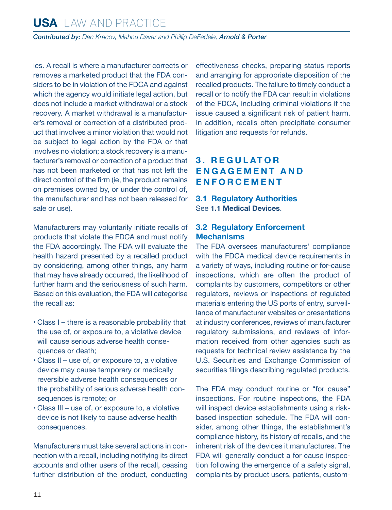<span id="page-10-0"></span>ies. A recall is where a manufacturer corrects or removes a marketed product that the FDA considers to be in violation of the FDCA and against which the agency would initiate legal action, but does not include a market withdrawal or a stock recovery. A market withdrawal is a manufacturer's removal or correction of a distributed product that involves a minor violation that would not be subject to legal action by the FDA or that involves no violation; a stock recovery is a manufacturer's removal or correction of a product that has not been marketed or that has not left the direct control of the firm (ie, the product remains on premises owned by, or under the control of, the manufacturer and has not been released for sale or use).

Manufacturers may voluntarily initiate recalls of products that violate the FDCA and must notify the FDA accordingly. The FDA will evaluate the health hazard presented by a recalled product by considering, among other things, any harm that may have already occurred, the likelihood of further harm and the seriousness of such harm. Based on this evaluation, the FDA will categorise the recall as:

- Class I there is a reasonable probability that the use of, or exposure to, a violative device will cause serious adverse health consequences or death;
- Class II use of, or exposure to, a violative device may cause temporary or medically reversible adverse health consequences or the probability of serious adverse health consequences is remote; or
- Class III use of, or exposure to, a violative device is not likely to cause adverse health consequences.

Manufacturers must take several actions in connection with a recall, including notifying its direct accounts and other users of the recall, ceasing further distribution of the product, conducting effectiveness checks, preparing status reports and arranging for appropriate disposition of the recalled products. The failure to timely conduct a recall or to notify the FDA can result in violations of the FDCA, including criminal violations if the issue caused a significant risk of patient harm. In addition, recalls often precipitate consumer litigation and requests for refunds.

#### **3 . R E G U L AT O R E N G A G E M E N T A N D E N F O R C E M E N T**

#### **3.1 Regulatory Authorities**  See **1.1 Medical Devices**.

#### **3.2 Regulatory Enforcement Mechanisms**

The FDA oversees manufacturers' compliance with the FDCA medical device requirements in a variety of ways, including routine or for-cause inspections, which are often the product of complaints by customers, competitors or other regulators, reviews or inspections of regulated materials entering the US ports of entry, surveillance of manufacturer websites or presentations at industry conferences, reviews of manufacturer regulatory submissions, and reviews of information received from other agencies such as requests for technical review assistance by the U.S. Securities and Exchange Commission of securities filings describing regulated products.

The FDA may conduct routine or "for cause" inspections. For routine inspections, the FDA will inspect device establishments using a riskbased inspection schedule. The FDA will consider, among other things, the establishment's compliance history, its history of recalls, and the inherent risk of the devices it manufactures. The FDA will generally conduct a for cause inspection following the emergence of a safety signal, complaints by product users, patients, custom-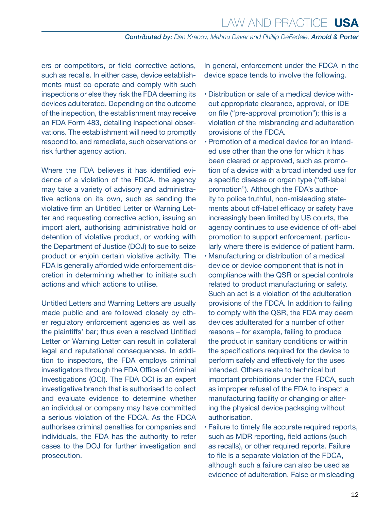ers or competitors, or field corrective actions, such as recalls. In either case, device establishments must co-operate and comply with such inspections or else they risk the FDA deeming its devices adulterated. Depending on the outcome of the inspection, the establishment may receive an FDA Form 483, detailing inspectional observations. The establishment will need to promptly respond to, and remediate, such observations or risk further agency action.

Where the FDA believes it has identified evidence of a violation of the FDCA, the agency may take a variety of advisory and administrative actions on its own, such as sending the violative firm an Untitled Letter or Warning Letter and requesting corrective action, issuing an import alert, authorising administrative hold or detention of violative product, or working with the Department of Justice (DOJ) to sue to seize product or enjoin certain violative activity. The FDA is generally afforded wide enforcement discretion in determining whether to initiate such actions and which actions to utilise.

Untitled Letters and Warning Letters are usually made public and are followed closely by other regulatory enforcement agencies as well as the plaintiffs' bar; thus even a resolved Untitled Letter or Warning Letter can result in collateral legal and reputational consequences. In addition to inspectors, the FDA employs criminal investigators through the FDA Office of Criminal Investigations (OCI). The FDA OCI is an expert investigative branch that is authorised to collect and evaluate evidence to determine whether an individual or company may have committed a serious violation of the FDCA. As the FDCA authorises criminal penalties for companies and individuals, the FDA has the authority to refer cases to the DOJ for further investigation and prosecution.

In general, enforcement under the FDCA in the device space tends to involve the following.

- Distribution or sale of a medical device without appropriate clearance, approval, or IDE on file ("pre-approval promotion"); this is a violation of the misbranding and adulteration provisions of the FDCA.
- Promotion of a medical device for an intended use other than the one for which it has been cleared or approved, such as promotion of a device with a broad intended use for a specific disease or organ type ("off-label promotion"). Although the FDA's authority to police truthful, non-misleading statements about off-label efficacy or safety have increasingly been limited by US courts, the agency continues to use evidence of off-label promotion to support enforcement, particularly where there is evidence of patient harm.
- Manufacturing or distribution of a medical device or device component that is not in compliance with the QSR or special controls related to product manufacturing or safety. Such an act is a violation of the adulteration provisions of the FDCA. In addition to failing to comply with the QSR, the FDA may deem devices adulterated for a number of other reasons – for example, failing to produce the product in sanitary conditions or within the specifications required for the device to perform safely and effectively for the uses intended. Others relate to technical but important prohibitions under the FDCA, such as improper refusal of the FDA to inspect a manufacturing facility or changing or altering the physical device packaging without authorisation.
- Failure to timely file accurate required reports, such as MDR reporting, field actions (such as recalls), or other required reports. Failure to file is a separate violation of the FDCA, although such a failure can also be used as evidence of adulteration. False or misleading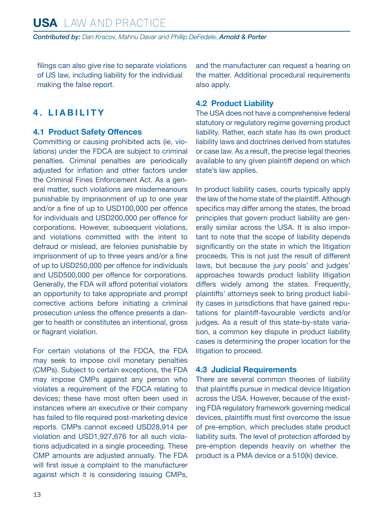<span id="page-12-0"></span>filings can also give rise to separate violations of US law, including liability for the individual making the false report.

#### **4. LIABILITY**

#### **4.1 Product Safety Offences**

Committing or causing prohibited acts (ie, violations) under the FDCA are subject to criminal penalties. Criminal penalties are periodically adjusted for inflation and other factors under the Criminal Fines Enforcement Act. As a general matter, such violations are misdemeanours punishable by imprisonment of up to one year and/or a fine of up to USD100,000 per offence for individuals and USD200,000 per offence for corporations. However, subsequent violations, and violations committed with the intent to defraud or mislead, are felonies punishable by imprisonment of up to three years and/or a fine of up to USD250,000 per offence for individuals and USD500,000 per offence for corporations. Generally, the FDA will afford potential violators an opportunity to take appropriate and prompt corrective actions before initiating a criminal prosecution unless the offence presents a danger to health or constitutes an intentional, gross or flagrant violation.

For certain violations of the FDCA, the FDA may seek to impose civil monetary penalties (CMPs). Subject to certain exceptions, the FDA may impose CMPs against any person who violates a requirement of the FDCA relating to devices; these have most often been used in instances where an executive or their company has failed to file required post-marketing device reports. CMPs cannot exceed USD28,914 per violation and USD1,927,676 for all such violations adjudicated in a single proceeding. These CMP amounts are adjusted annually. The FDA will first issue a complaint to the manufacturer against which it is considering issuing CMPs, and the manufacturer can request a hearing on the matter. Additional procedural requirements also apply.

#### **4.2 Product Liability**

The USA does not have a comprehensive federal statutory or regulatory regime governing product liability. Rather, each state has its own product liability laws and doctrines derived from statutes or case law. As a result, the precise legal theories available to any given plaintiff depend on which state's law applies.

In product liability cases, courts typically apply the law of the home state of the plaintiff. Although specifics may differ among the states, the broad principles that govern product liability are generally similar across the USA. It is also important to note that the scope of liability depends significantly on the state in which the litigation proceeds. This is not just the result of different laws, but because the jury pools' and judges' approaches towards product liability litigation differs widely among the states. Frequently, plaintiffs' attorneys seek to bring product liability cases in jurisdictions that have gained reputations for plaintiff-favourable verdicts and/or judges. As a result of this state-by-state variation, a common key dispute in product liability cases is determining the proper location for the litigation to proceed.

#### **4.3 Judicial Requirements**

There are several common theories of liability that plaintiffs pursue in medical device litigation across the USA. However, because of the existing FDA regulatory framework governing medical devices, plaintiffs must first overcome the issue of pre-emption, which precludes state product liability suits. The level of protection afforded by pre-emption depends heavily on whether the product is a PMA device or a 510(k) device.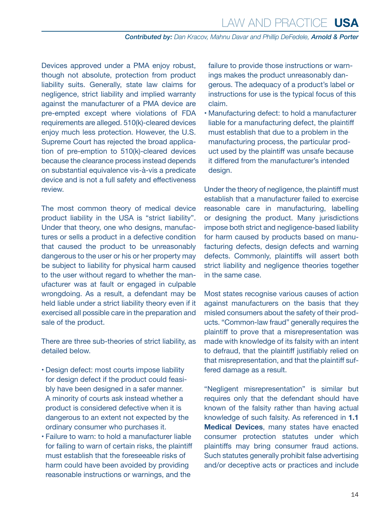Devices approved under a PMA enjoy robust, though not absolute, protection from product liability suits. Generally, state law claims for negligence, strict liability and implied warranty against the manufacturer of a PMA device are pre-empted except where violations of FDA requirements are alleged. 510(k)-cleared devices enjoy much less protection. However, the U.S. Supreme Court has rejected the broad application of pre-emption to 510(k)-cleared devices because the clearance process instead depends on substantial equivalence vis-à-vis a predicate device and is not a full safety and effectiveness review.

The most common theory of medical device product liability in the USA is "strict liability". Under that theory, one who designs, manufactures or sells a product in a defective condition that caused the product to be unreasonably dangerous to the user or his or her property may be subject to liability for physical harm caused to the user without regard to whether the manufacturer was at fault or engaged in culpable wrongdoing. As a result, a defendant may be held liable under a strict liability theory even if it exercised all possible care in the preparation and sale of the product.

There are three sub-theories of strict liability, as detailed below.

- Design defect: most courts impose liability for design defect if the product could feasibly have been designed in a safer manner. A minority of courts ask instead whether a product is considered defective when it is dangerous to an extent not expected by the ordinary consumer who purchases it.
- Failure to warn: to hold a manufacturer liable for failing to warn of certain risks, the plaintiff must establish that the foreseeable risks of harm could have been avoided by providing reasonable instructions or warnings, and the

failure to provide those instructions or warnings makes the product unreasonably dangerous. The adequacy of a product's label or instructions for use is the typical focus of this claim.

• Manufacturing defect: to hold a manufacturer liable for a manufacturing defect, the plaintiff must establish that due to a problem in the manufacturing process, the particular product used by the plaintiff was unsafe because it differed from the manufacturer's intended design.

Under the theory of negligence, the plaintiff must establish that a manufacturer failed to exercise reasonable care in manufacturing, labelling or designing the product. Many jurisdictions impose both strict and negligence-based liability for harm caused by products based on manufacturing defects, design defects and warning defects. Commonly, plaintiffs will assert both strict liability and negligence theories together in the same case.

Most states recognise various causes of action against manufacturers on the basis that they misled consumers about the safety of their products. "Common-law fraud" generally requires the plaintiff to prove that a misrepresentation was made with knowledge of its falsity with an intent to defraud, that the plaintiff justifiably relied on that misrepresentation, and that the plaintiff suffered damage as a result.

"Negligent misrepresentation" is similar but requires only that the defendant should have known of the falsity rather than having actual knowledge of such falsity. As referenced in **1.1 Medical Devices**, many states have enacted consumer protection statutes under which plaintiffs may bring consumer fraud actions. Such statutes generally prohibit false advertising and/or deceptive acts or practices and include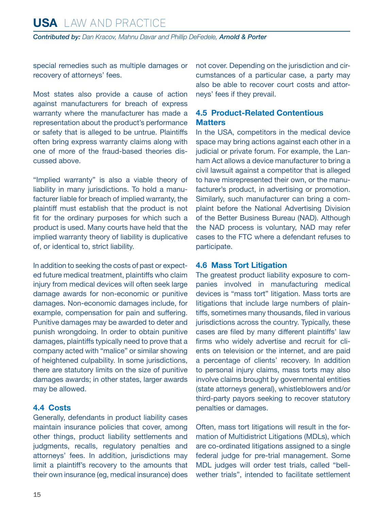<span id="page-14-0"></span>special remedies such as multiple damages or recovery of attorneys' fees.

Most states also provide a cause of action against manufacturers for breach of express warranty where the manufacturer has made a representation about the product's performance or safety that is alleged to be untrue. Plaintiffs often bring express warranty claims along with one of more of the fraud-based theories discussed above.

"Implied warranty" is also a viable theory of liability in many jurisdictions. To hold a manufacturer liable for breach of implied warranty, the plaintiff must establish that the product is not fit for the ordinary purposes for which such a product is used. Many courts have held that the implied warranty theory of liability is duplicative of, or identical to, strict liability.

In addition to seeking the costs of past or expected future medical treatment, plaintiffs who claim injury from medical devices will often seek large damage awards for non-economic or punitive damages. Non-economic damages include, for example, compensation for pain and suffering. Punitive damages may be awarded to deter and punish wrongdoing. In order to obtain punitive damages, plaintiffs typically need to prove that a company acted with "malice" or similar showing of heightened culpability. In some jurisdictions, there are statutory limits on the size of punitive damages awards; in other states, larger awards may be allowed.

#### **4.4 Costs**

Generally, defendants in product liability cases maintain insurance policies that cover, among other things, product liability settlements and judgments, recalls, regulatory penalties and attorneys' fees. In addition, jurisdictions may limit a plaintiff's recovery to the amounts that their own insurance (eg, medical insurance) does not cover. Depending on the jurisdiction and circumstances of a particular case, a party may also be able to recover court costs and attorneys' fees if they prevail.

#### **4.5 Product-Related Contentious Matters**

In the USA, competitors in the medical device space may bring actions against each other in a judicial or private forum. For example, the Lanham Act allows a device manufacturer to bring a civil lawsuit against a competitor that is alleged to have misrepresented their own, or the manufacturer's product, in advertising or promotion. Similarly, such manufacturer can bring a complaint before the National Advertising Division of the Better Business Bureau (NAD). Although the NAD process is voluntary, NAD may refer cases to the FTC where a defendant refuses to participate.

#### **4.6 Mass Tort Litigation**

The greatest product liability exposure to companies involved in manufacturing medical devices is "mass tort" litigation. Mass torts are litigations that include large numbers of plaintiffs, sometimes many thousands, filed in various jurisdictions across the country. Typically, these cases are filed by many different plaintiffs' law firms who widely advertise and recruit for clients on television or the internet, and are paid a percentage of clients' recovery. In addition to personal injury claims, mass torts may also involve claims brought by governmental entities (state attorneys general), whistleblowers and/or third-party payors seeking to recover statutory penalties or damages.

Often, mass tort litigations will result in the formation of Multidistrict Litigations (MDLs), which are co-ordinated litigations assigned to a single federal judge for pre-trial management. Some MDL judges will order test trials, called "bellwether trials", intended to facilitate settlement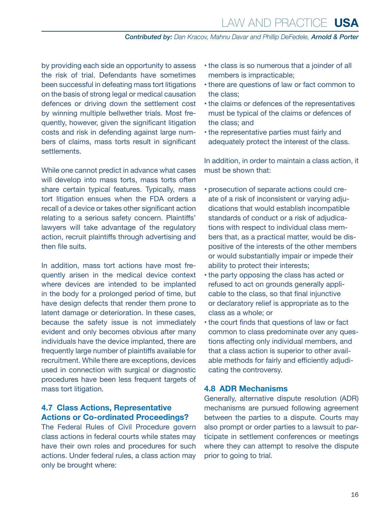<span id="page-15-0"></span>by providing each side an opportunity to assess the risk of trial. Defendants have sometimes been successful in defeating mass tort litigations on the basis of strong legal or medical causation defences or driving down the settlement cost by winning multiple bellwether trials. Most frequently, however, given the significant litigation costs and risk in defending against large numbers of claims, mass torts result in significant settlements.

While one cannot predict in advance what cases will develop into mass torts, mass torts often share certain typical features. Typically, mass tort litigation ensues when the FDA orders a recall of a device or takes other significant action relating to a serious safety concern. Plaintiffs' lawyers will take advantage of the regulatory action, recruit plaintiffs through advertising and then file suits.

In addition, mass tort actions have most frequently arisen in the medical device context where devices are intended to be implanted in the body for a prolonged period of time, but have design defects that render them prone to latent damage or deterioration. In these cases, because the safety issue is not immediately evident and only becomes obvious after many individuals have the device implanted, there are frequently large number of plaintiffs available for recruitment. While there are exceptions, devices used in connection with surgical or diagnostic procedures have been less frequent targets of mass tort litigation.

#### **4.7 Class Actions, Representative Actions or Co-ordinated Proceedings?**

The Federal Rules of Civil Procedure govern class actions in federal courts while states may have their own roles and procedures for such actions. Under federal rules, a class action may only be brought where:

- the class is so numerous that a joinder of all members is impracticable;
- there are questions of law or fact common to the class;
- the claims or defences of the representatives must be typical of the claims or defences of the class; and
- the representative parties must fairly and adequately protect the interest of the class.

In addition, in order to maintain a class action, it must be shown that:

- prosecution of separate actions could create of a risk of inconsistent or varying adjudications that would establish incompatible standards of conduct or a risk of adjudications with respect to individual class members that, as a practical matter, would be dispositive of the interests of the other members or would substantially impair or impede their ability to protect their interests;
- the party opposing the class has acted or refused to act on grounds generally applicable to the class, so that final injunctive or declaratory relief is appropriate as to the class as a whole; or
- the court finds that questions of law or fact common to class predominate over any questions affecting only individual members, and that a class action is superior to other available methods for fairly and efficiently adjudicating the controversy.

#### **4.8 ADR Mechanisms**

Generally, alternative dispute resolution (ADR) mechanisms are pursued following agreement between the parties to a dispute. Courts may also prompt or order parties to a lawsuit to participate in settlement conferences or meetings where they can attempt to resolve the dispute prior to going to trial.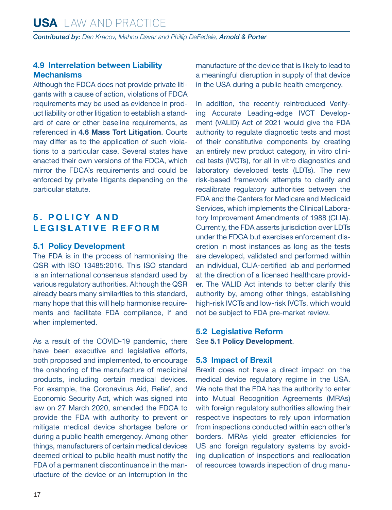#### <span id="page-16-0"></span>**4.9 Interrelation between Liability Mechanisms**

Although the FDCA does not provide private litigants with a cause of action, violations of FDCA requirements may be used as evidence in product liability or other litigation to establish a standard of care or other baseline requirements, as referenced in **4.6 Mass Tort Litigation**. Courts may differ as to the application of such violations to a particular case. Several states have enacted their own versions of the FDCA, which mirror the FDCA's requirements and could be enforced by private litigants depending on the particular statute.

#### **5 . P O L I C Y A N D LEGISLATIVE REFORM**

#### **5.1 Policy Development**

The FDA is in the process of harmonising the QSR with ISO 13485:2016. This ISO standard is an international consensus standard used by various regulatory authorities. Although the QSR already bears many similarities to this standard, many hope that this will help harmonise requirements and facilitate FDA compliance, if and when implemented.

As a result of the COVID-19 pandemic, there have been executive and legislative efforts, both proposed and implemented, to encourage the onshoring of the manufacture of medicinal products, including certain medical devices. For example, the Coronavirus Aid, Relief, and Economic Security Act, which was signed into law on 27 March 2020, amended the FDCA to provide the FDA with authority to prevent or mitigate medical device shortages before or during a public health emergency. Among other things, manufacturers of certain medical devices deemed critical to public health must notify the FDA of a permanent discontinuance in the manufacture of the device or an interruption in the manufacture of the device that is likely to lead to a meaningful disruption in supply of that device in the USA during a public health emergency.

In addition, the recently reintroduced Verifying Accurate Leading-edge IVCT Development (VALID) Act of 2021 would give the FDA authority to regulate diagnostic tests and most of their constitutive components by creating an entirely new product category, in vitro clinical tests (IVCTs), for all in vitro diagnostics and laboratory developed tests (LDTs). The new risk-based framework attempts to clarify and recalibrate regulatory authorities between the FDA and the Centers for Medicare and Medicaid Services, which implements the Clinical Laboratory Improvement Amendments of 1988 (CLIA). Currently, the FDA asserts jurisdiction over LDTs under the FDCA but exercises enforcement discretion in most instances as long as the tests are developed, validated and performed within an individual, CLIA-certified lab and performed at the direction of a licensed healthcare provider. The VALID Act intends to better clarify this authority by, among other things, establishing high-risk IVCTs and low-risk IVCTs, which would not be subject to FDA pre-market review.

#### **5.2 Legislative Reform** See **5.1 Policy Development**.

#### **5.3 Impact of Brexit**

Brexit does not have a direct impact on the medical device regulatory regime in the USA. We note that the FDA has the authority to enter into Mutual Recognition Agreements (MRAs) with foreign regulatory authorities allowing their respective inspectors to rely upon information from inspections conducted within each other's borders. MRAs yield greater efficiencies for US and foreign regulatory systems by avoiding duplication of inspections and reallocation of resources towards inspection of drug manu-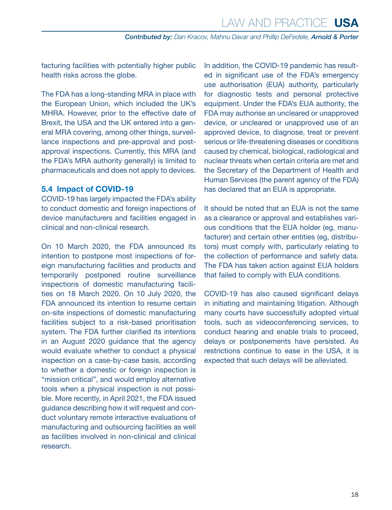<span id="page-17-0"></span>facturing facilities with potentially higher public health risks across the globe.

The FDA has a long-standing MRA in place with the European Union, which included the UK's MHRA. However, prior to the effective date of Brexit, the USA and the UK entered into a general MRA covering, among other things, surveillance inspections and pre-approval and postapproval inspections. Currently, this MRA (and the FDA's MRA authority generally) is limited to pharmaceuticals and does not apply to devices.

#### **5.4 Impact of COVID-19**

COVID-19 has largely impacted the FDA's ability to conduct domestic and foreign inspections of device manufacturers and facilities engaged in clinical and non-clinical research.

On 10 March 2020, the FDA announced its intention to postpone most inspections of foreign manufacturing facilities and products and temporarily postponed routine surveillance inspections of domestic manufacturing facilities on 18 March 2020. On 10 July 2020, the FDA announced its intention to resume certain on-site inspections of domestic manufacturing facilities subject to a risk-based prioritisation system. The FDA further clarified its intentions in an August 2020 guidance that the agency would evaluate whether to conduct a physical inspection on a case-by-case basis, according to whether a domestic or foreign inspection is "mission critical", and would employ alternative tools when a physical inspection is not possible. More recently, in April 2021, the FDA issued guidance describing how it will request and conduct voluntary remote interactive evaluations of manufacturing and outsourcing facilities as well as facilities involved in non-clinical and clinical research.

In addition, the COVID-19 pandemic has resulted in significant use of the FDA's emergency use authorisation (EUA) authority, particularly for diagnostic tests and personal protective equipment. Under the FDA's EUA authority, the FDA may authorise an uncleared or unapproved device, or uncleared or unapproved use of an approved device, to diagnose, treat or prevent serious or life-threatening diseases or conditions caused by chemical, biological, radiological and nuclear threats when certain criteria are met and the Secretary of the Department of Health and Human Services (the parent agency of the FDA) has declared that an EUA is appropriate.

It should be noted that an EUA is not the same as a clearance or approval and establishes various conditions that the EUA holder (eg, manufacturer) and certain other entities (eg, distributors) must comply with, particularly relating to the collection of performance and safety data. The FDA has taken action against EUA holders that failed to comply with EUA conditions.

COVID-19 has also caused significant delays in initiating and maintaining litigation. Although many courts have successfully adopted virtual tools, such as videoconferencing services, to conduct hearing and enable trials to proceed, delays or postponements have persisted. As restrictions continue to ease in the USA, it is expected that such delays will be alleviated.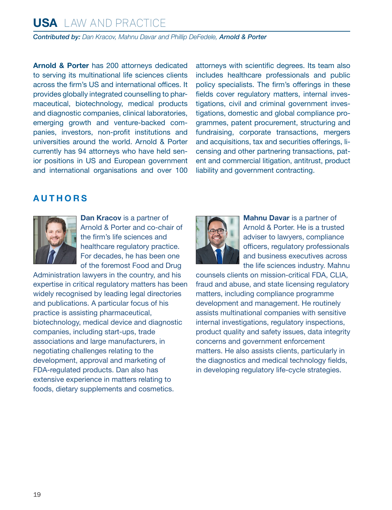## **USA** LAW AND PRACTICE

*Contributed by: Dan Kracov, Mahnu Davar and Phillip DeFedele, Arnold & Porter*

**Arnold & Porter** has 200 attorneys dedicated to serving its multinational life sciences clients across the firm's US and international offices. It provides globally integrated counselling to pharmaceutical, biotechnology, medical products and diagnostic companies, clinical laboratories, emerging growth and venture-backed companies, investors, non-profit institutions and universities around the world. Arnold & Porter currently has 94 attorneys who have held senior positions in US and European government and international organisations and over 100 attorneys with scientific degrees. Its team also includes healthcare professionals and public policy specialists. The firm's offerings in these fields cover regulatory matters, internal investigations, civil and criminal government investigations, domestic and global compliance programmes, patent procurement, structuring and fundraising, corporate transactions, mergers and acquisitions, tax and securities offerings, licensing and other partnering transactions, patent and commercial litigation, antitrust, product liability and government contracting.

#### <span id="page-18-0"></span>**AUTHORS**



**Dan Kracov** is a partner of Arnold & Porter and co-chair of the firm's life sciences and healthcare regulatory practice. For decades, he has been one of the foremost Food and Drug

Administration lawyers in the country, and his expertise in critical regulatory matters has been widely recognised by leading legal directories and publications. A particular focus of his practice is assisting pharmaceutical, biotechnology, medical device and diagnostic companies, including start-ups, trade associations and large manufacturers, in negotiating challenges relating to the development, approval and marketing of FDA-regulated products. Dan also has extensive experience in matters relating to foods, dietary supplements and cosmetics.



**Mahnu Davar** is a partner of Arnold & Porter. He is a trusted adviser to lawyers, compliance officers, regulatory professionals and business executives across the life sciences industry. Mahnu

counsels clients on mission-critical FDA, CLIA, fraud and abuse, and state licensing regulatory matters, including compliance programme development and management. He routinely assists multinational companies with sensitive internal investigations, regulatory inspections, product quality and safety issues, data integrity concerns and government enforcement matters. He also assists clients, particularly in the diagnostics and medical technology fields, in developing regulatory life-cycle strategies.